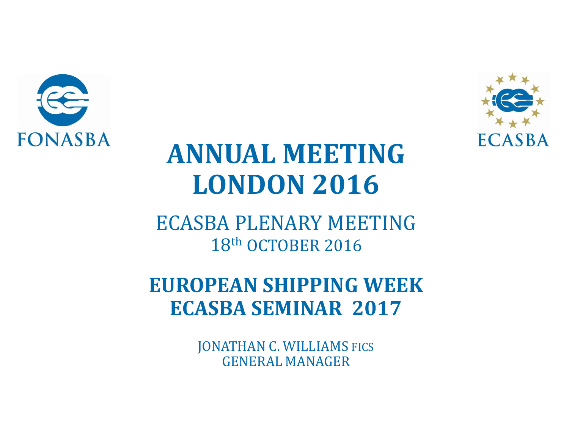



### **ANNUAL MEETING LONDON 2016**

ECASBA PLENARY MEETING 18th OCTOBER 2016

**EUROPEAN SHIPPING WEEK ECASBA SEMINAR 2017**

> JONATHAN C. WILLIAMS FICS GENERAL MANAGER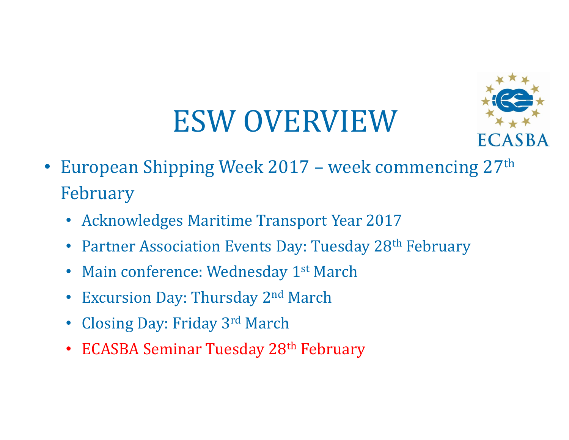# ESW OVERVIEW



- European Shipping Week 2017 week commencing 27<sup>th</sup> February
	- Acknowledges Maritime Transport Year 2017
	- Partner Association Events Day: Tuesday 28<sup>th</sup> February
	- Main conference: Wednesday 1<sup>st</sup> March
	- Excursion Day: Thursday 2<sup>nd</sup> March
	- Closing Day: Friday 3rd March
	- ECASBA Seminar Tuesday 28<sup>th</sup> February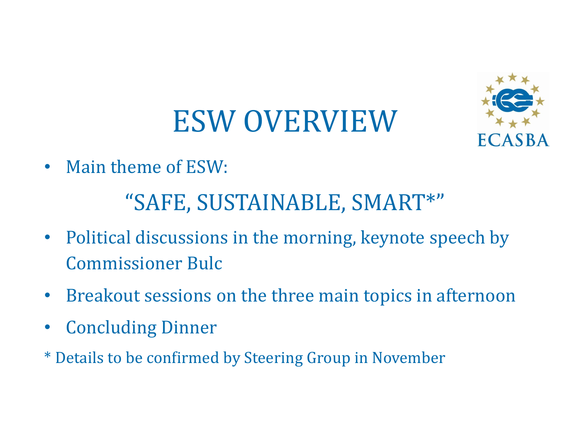# ESW OVERVIEW



• Main theme of ESW:

#### "SAFE, SUSTAINABLE, SMART\*"

- Political discussions in the morning, keynote speech by Commissioner Bulc
- Breakout sessions on the three main topics in afternoon
- Concluding Dinner
- \* Details to be confirmed by Steering Group in November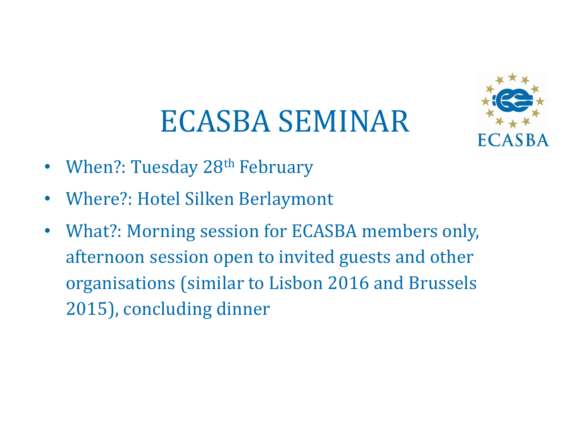### ECASBA SEMINAR



- When?: Tuesday 28<sup>th</sup> February
- Where?: Hotel Silken Berlaymont
- What?: Morning session for ECASBA members only, afternoon session open to invited guests and other organisations (similar to Lisbon 2016 and Brussels 2015), concluding dinner